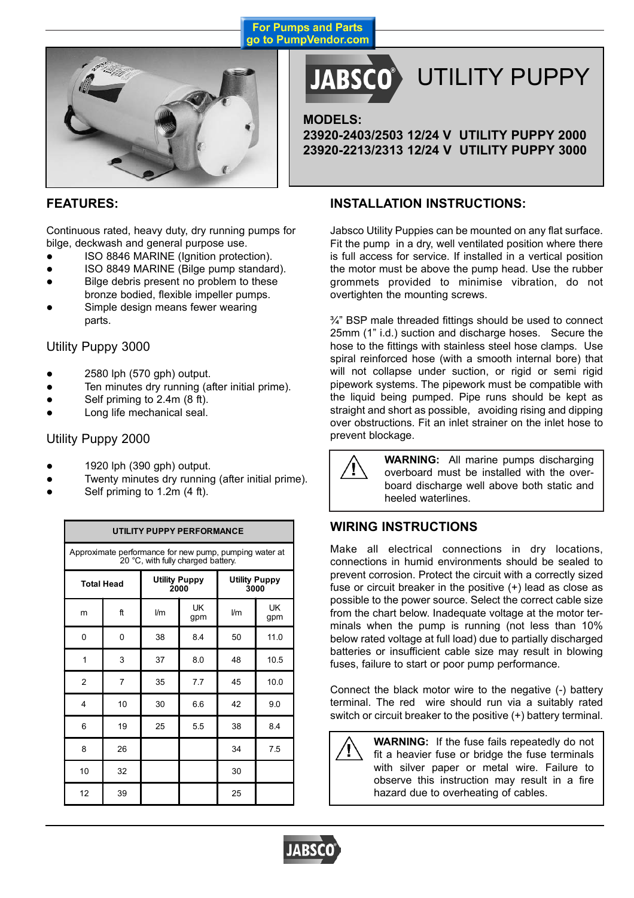

# UTILITY PUPPY **JARSCO**®

#### **MODELS:**

**23920-2403/2503 12/24 V UTILITY PUPPY 2000 23920-2213/2313 12/24 V UTILITY PUPPY 3000**

### **FEATURES:**

Continuous rated, heavy duty, dry running pumps for bilge, deckwash and general purpose use.

- ISO 8846 MARINE (Ignition protection).
- ISO 8849 MARINE (Bilge pump standard).
- Bilge debris present no problem to these bronze bodied, flexible impeller pumps.
- Simple design means fewer wearing parts.

#### Utility Puppy 3000

- 2580 lph (570 gph) output.
- Ten minutes dry running (after initial prime).
- Self priming to 2.4m (8 ft).
- Long life mechanical seal.

#### Utility Puppy 2000

- 1920 lph (390 gph) output.
- Twenty minutes dry running (after initial prime).
- Self priming to 1.2m (4 ft).

| UTILITY PUPPY PERFORMANCE                                                                    |                |                              |                  |                              |           |  |  |  |
|----------------------------------------------------------------------------------------------|----------------|------------------------------|------------------|------------------------------|-----------|--|--|--|
| Approximate performance for new pump, pumping water at<br>20 °C, with fully charged battery. |                |                              |                  |                              |           |  |  |  |
| <b>Total Head</b>                                                                            |                | <b>Utility Puppy</b><br>2000 |                  | <b>Utility Puppy</b><br>3000 |           |  |  |  |
| m                                                                                            | ft             | V <sub>m</sub>               | <b>UK</b><br>gpm | Um                           | UK<br>gpm |  |  |  |
| 0                                                                                            | 0              | 38                           | 8.4              | 50                           | 11.0      |  |  |  |
| 1                                                                                            | 3              | 37                           | 8.0              | 48                           | 10.5      |  |  |  |
| $\overline{2}$                                                                               | $\overline{7}$ | 35                           | 7.7              | 45                           | 10.0      |  |  |  |
| 4                                                                                            | 10             | 30                           | 6.6              | 42                           | 9.0       |  |  |  |
| 6                                                                                            | 19             | 25                           | 5.5              | 38                           | 8.4       |  |  |  |
| 8                                                                                            | 26             |                              |                  | 34                           | 7.5       |  |  |  |
| 10                                                                                           | 32             |                              |                  | 30                           |           |  |  |  |
| 12                                                                                           | 39             |                              |                  | 25                           |           |  |  |  |

## **INSTALLATION INSTRUCTIONS:**

Jabsco Utility Puppies can be mounted on any flat surface. Fit the pump in a dry, well ventilated position where there is full access for service. If installed in a vertical position the motor must be above the pump head. Use the rubber grommets provided to minimise vibration, do not overtighten the mounting screws.

 $\frac{3}{4}$ " BSP male threaded fittings should be used to connect 25mm (1î i.d.) suction and discharge hoses. Secure the hose to the fittings with stainless steel hose clamps. Use spiral reinforced hose (with a smooth internal bore) that will not collapse under suction, or rigid or semi rigid pipework systems. The pipework must be compatible with the liquid being pumped. Pipe runs should be kept as straight and short as possible, avoiding rising and dipping over obstructions. Fit an inlet strainer on the inlet hose to prevent blockage.



**WARNING:** All marine pumps discharging overboard must be installed with the overboard discharge well above both static and heeled waterlines.

## **WIRING INSTRUCTIONS**

Make all electrical connections in dry locations, connections in humid environments should be sealed to prevent corrosion. Protect the circuit with a correctly sized fuse or circuit breaker in the positive (+) lead as close as possible to the power source. Select the correct cable size from the chart below. Inadequate voltage at the motor terminals when the pump is running (not less than 10% below rated voltage at full load) due to partially discharged batteries or insufficient cable size may result in blowing fuses, failure to start or poor pump performance.

Connect the black motor wire to the negative (-) battery terminal. The red wire should run via a suitably rated switch or circuit breaker to the positive (+) battery terminal.

**WARNING:** If the fuse fails repeatedly do not fit a heavier fuse or bridge the fuse terminals with silver paper or metal wire. Failure to observe this instruction may result in a fire hazard due to overheating of cables.